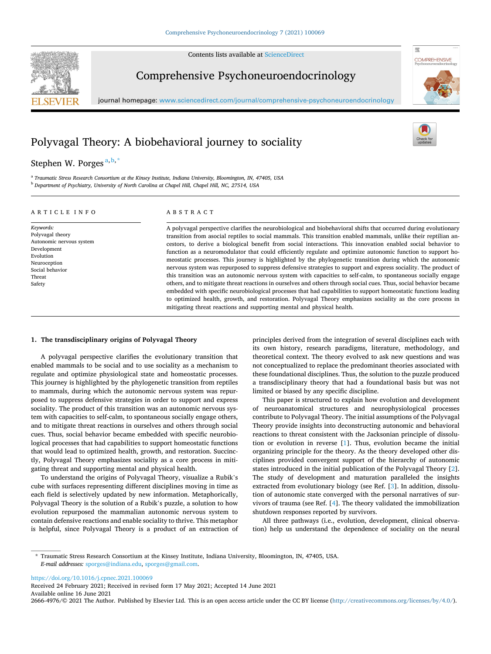Contents lists available at [ScienceDirect](www.sciencedirect.com/science/journal/26664976)



**COMPREHENSIVE** 

骤

# Comprehensive Psychoneuroendocrinology

journal homepage: [www.sciencedirect.com/journal/comprehensive-psychoneuroendocrinology](https://www.sciencedirect.com/journal/comprehensive-psychoneuroendocrinology)

## Polyvagal Theory: A biobehavioral journey to sociality

## Stephen W. Porges<sup>a,b,\*</sup>

<sup>a</sup> *Traumatic Stress Research Consortium at the Kinsey Institute, Indiana University, Bloomington, IN, 47405, USA* <sup>b</sup> *Department of Psychiatry, University of North Carolina at Chapel Hill, Chapel Hill, NC, 27514, USA* 

### ARTICLE INFO

*Keywords:*  Polyvagal theory Autonomic nervous system

Development Evolution Neuroception Social behavior Threat Safety

ABSTRACT

A polyvagal perspective clarifies the neurobiological and biobehavioral shifts that occurred during evolutionary transition from asocial reptiles to social mammals. This transition enabled mammals, unlike their reptilian ancestors, to derive a biological benefit from social interactions. This innovation enabled social behavior to function as a neuromodulator that could efficiently regulate and optimize autonomic function to support homeostatic processes. This journey is highlighted by the phylogenetic transition during which the autonomic nervous system was repurposed to suppress defensive strategies to support and express sociality. The product of this transition was an autonomic nervous system with capacities to self-calm, to spontaneous socially engage others, and to mitigate threat reactions in ourselves and others through social cues. Thus, social behavior became embedded with specific neurobiological processes that had capabilities to support homeostatic functions leading to optimized health, growth, and restoration. Polyvagal Theory emphasizes sociality as the core process in mitigating threat reactions and supporting mental and physical health.

#### **1. The transdisciplinary origins of Polyvagal Theory**

A polyvagal perspective clarifies the evolutionary transition that enabled mammals to be social and to use sociality as a mechanism to regulate and optimize physiological state and homeostatic processes. This journey is highlighted by the phylogenetic transition from reptiles to mammals, during which the autonomic nervous system was repurposed to suppress defensive strategies in order to support and express sociality. The product of this transition was an autonomic nervous system with capacities to self-calm, to spontaneous socially engage others, and to mitigate threat reactions in ourselves and others through social cues. Thus, social behavior became embedded with specific neurobiological processes that had capabilities to support homeostatic functions that would lead to optimized health, growth, and restoration. Succinctly, Polyvagal Theory emphasizes sociality as a core process in mitigating threat and supporting mental and physical health.

To understand the origins of Polyvagal Theory, visualize a Rubik's cube with surfaces representing different disciplines moving in time as each field is selectively updated by new information. Metaphorically, Polyvagal Theory is the solution of a Rubik's puzzle, a solution to how evolution repurposed the mammalian autonomic nervous system to contain defensive reactions and enable sociality to thrive. This metaphor is helpful, since Polyvagal Theory is a product of an extraction of

principles derived from the integration of several disciplines each with its own history, research paradigms, literature, methodology, and theoretical context. The theory evolved to ask new questions and was not conceptualized to replace the predominant theories associated with these foundational disciplines. Thus, the solution to the puzzle produced a transdisciplinary theory that had a foundational basis but was not limited or biased by any specific discipline.

This paper is structured to explain how evolution and development of neuroanatomical structures and neurophysiological processes contribute to Polyvagal Theory. The initial assumptions of the Polyvagal Theory provide insights into deconstructing autonomic and behavioral reactions to threat consistent with the Jacksonian principle of dissolution or evolution in reverse [[1](#page-6-0)]. Thus, evolution became the initial organizing principle for the theory. As the theory developed other disciplines provided convergent support of the hierarchy of autonomic states introduced in the initial publication of the Polyvagal Theory [[2](#page-6-0)]. The study of development and maturation paralleled the insights extracted from evolutionary biology (see Ref. [[3](#page-6-0)]. In addition, dissolution of autonomic state converged with the personal narratives of survivors of trauma (see Ref. [[4](#page-6-0)]. The theory validated the immobilization shutdown responses reported by survivors.

All three pathways (i.e., evolution, development, clinical observation) help us understand the dependence of sociality on the neural

<https://doi.org/10.1016/j.cpnec.2021.100069>

Available online 16 June 2021 Received 24 February 2021; Received in revised form 17 May 2021; Accepted 14 June 2021

2666-4976/© 2021 The Author. Published by Elsevier Ltd. This is an open access article under the CC BY license [\(http://creativecommons.org/licenses/by/4.0/\)](http://creativecommons.org/licenses/by/4.0/).

<sup>\*</sup> Traumatic Stress Research Consortium at the Kinsey Institute, Indiana University, Bloomington, IN, 47405, USA. *E-mail addresses:* [sporges@indiana.edu,](mailto:sporges@indiana.edu) [sporges@gmail.com.](mailto:sporges@gmail.com)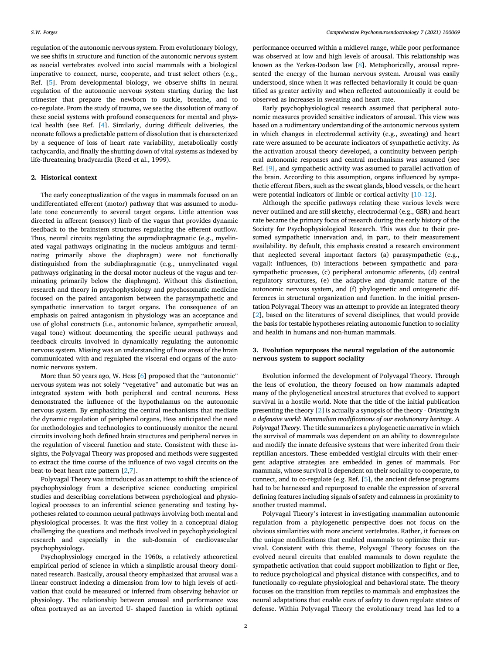regulation of the autonomic nervous system. From evolutionary biology, we see shifts in structure and function of the autonomic nervous system as asocial vertebrates evolved into social mammals with a biological imperative to connect, nurse, cooperate, and trust select others (e.g., Ref. [\[5\]](#page-6-0). From developmental biology, we observe shifts in neural regulation of the autonomic nervous system starting during the last trimester that prepare the newborn to suckle, breathe, and to co-regulate. From the study of trauma, we see the dissolution of many of these social systems with profound consequences for mental and physical health (see Ref. [\[4\]](#page-6-0). Similarly, during difficult deliveries, the neonate follows a predictable pattern of dissolution that is characterized by a sequence of loss of heart rate variability, metabolically costly tachycardia, and finally the shutting down of vital systems as indexed by life-threatening bradycardia (Reed et al., 1999).

#### **2. Historical context**

The early conceptualization of the vagus in mammals focused on an undifferentiated efferent (motor) pathway that was assumed to modulate tone concurrently to several target organs. Little attention was directed in afferent (sensory) limb of the vagus that provides dynamic feedback to the brainstem structures regulating the efferent outflow. Thus, neural circuits regulating the supradiaphragmatic (e.g., myelinated vagal pathways originating in the nucleus ambiguus and terminating primarily above the diaphragm) were not functionally distinguished from the subdiaphragmatic (e.g., unmyelinated vagal pathways originating in the dorsal motor nucleus of the vagus and terminating primarily below the diaphragm). Without this distinction, research and theory in psychophysiology and psychosomatic medicine focused on the paired antagonism between the parasympathetic and sympathetic innervation to target organs. The consequence of an emphasis on paired antagonism in physiology was an acceptance and use of global constructs (i.e., autonomic balance, sympathetic arousal, vagal tone) without documenting the specific neural pathways and feedback circuits involved in dynamically regulating the autonomic nervous system. Missing was an understanding of how areas of the brain communicated with and regulated the visceral end organs of the autonomic nervous system.

More than 50 years ago, W. Hess [\[6\]](#page-6-0) proposed that the "autonomic" nervous system was not solely "vegetative" and automatic but was an integrated system with both peripheral and central neurons. Hess demonstrated the influence of the hypothalamus on the autonomic nervous system. By emphasizing the central mechanisms that mediate the dynamic regulation of peripheral organs, Hess anticipated the need for methodologies and technologies to continuously monitor the neural circuits involving both defined brain structures and peripheral nerves in the regulation of visceral function and state. Consistent with these insights, the Polyvagal Theory was proposed and methods were suggested to extract the time course of the influence of two vagal circuits on the beat-to-beat heart rate pattern [[2,7\]](#page-6-0).

Polyvagal Theory was introduced as an attempt to shift the science of psychophysiology from a descriptive science conducting empirical studies and describing correlations between psychological and physiological processes to an inferential science generating and testing hypotheses related to common neural pathways involving both mental and physiological processes. It was the first volley in a conceptual dialog challenging the questions and methods involved in psychophysiological research and especially in the sub-domain of cardiovascular psychophysiology.

Psychophysiology emerged in the 1960s, a relatively atheoretical empirical period of science in which a simplistic arousal theory dominated research. Basically, arousal theory emphasized that arousal was a linear construct indexing a dimension from low to high levels of activation that could be measured or inferred from observing behavior or physiology. The relationship between arousal and performance was often portrayed as an inverted U- shaped function in which optimal

performance occurred within a midlevel range, while poor performance was observed at low and high levels of arousal. This relationship was known as the Yerkes-Dodson law [[8](#page-6-0)]. Metaphorically, arousal represented the energy of the human nervous system. Arousal was easily understood, since when it was reflected behaviorally it could be quantified as greater activity and when reflected autonomically it could be observed as increases in sweating and heart rate.

Early psychophysiological research assumed that peripheral autonomic measures provided sensitive indicators of arousal. This view was based on a rudimentary understanding of the autonomic nervous system in which changes in electrodermal activity (e.g., sweating) and heart rate were assumed to be accurate indicators of sympathetic activity. As the activation arousal theory developed, a continuity between peripheral autonomic responses and central mechanisms was assumed (see Ref. [\[9\]](#page-6-0), and sympathetic activity was assumed to parallel activation of the brain. According to this assumption, organs influenced by sympathetic efferent fibers, such as the sweat glands, blood vessels, or the heart were potential indicators of limbic or cortical activity [\[10](#page-6-0)–12].

Although the specific pathways relating these various levels were never outlined and are still sketchy, electrodermal (e.g., GSR) and heart rate became the primary focus of research during the early history of the Society for Psychophysiological Research. This was due to their presumed sympathetic innervation and, in part, to their measurement availability. By default, this emphasis created a research environment that neglected several important factors (a) parasympathetic (e.g., vagal): influences, (b) interactions between sympathetic and parasympathetic processes, (c) peripheral autonomic afferents, (d) central regulatory structures, (e) the adaptive and dynamic nature of the autonomic nervous system, and (f) phylogenetic and ontogenetic differences in structural organization and function. In the initial presentation Polyvagal Theory was an attempt to provide an integrated theory [[2](#page-6-0)], based on the literatures of several disciplines, that would provide the basis for testable hypotheses relating autonomic function to sociality and health in humans and non-human mammals.

#### **3. Evolution repurposes the neural regulation of the autonomic nervous system to support sociality**

Evolution informed the development of Polyvagal Theory. Through the lens of evolution, the theory focused on how mammals adapted many of the phylogenetical ancestral structures that evolved to support survival in a hostile world. Note that the title of the initial publication presenting the theory [[2](#page-6-0)] is actually a synopsis of the theory - O*rienting in a defensive world: Mammalian modifications of our evolutionary heritage. A Polyvagal Theory.* The title summarizes a phylogenetic narrative in which the survival of mammals was dependent on an ability to downregulate and modify the innate defensive systems that were inherited from their reptilian ancestors. These embedded vestigial circuits with their emergent adaptive strategies are embedded in genes of mammals. For mammals, whose survival is dependent on their sociality to cooperate, to connect, and to co-regulate (e.g. Ref. [[5](#page-6-0)], the ancient defense programs had to be harnessed and repurposed to enable the expression of several defining features including signals of safety and calmness in proximity to another trusted mammal.

Polyvagal Theory's interest in investigating mammalian autonomic regulation from a phylogenetic perspective does not focus on the obvious similarities with more ancient vertebrates. Rather, it focuses on the unique modifications that enabled mammals to optimize their survival. Consistent with this theme, Polyvagal Theory focuses on the evolved neural circuits that enabled mammals to down regulate the sympathetic activation that could support mobilization to fight or flee, to reduce psychological and physical distance with conspecifics, and to functionally co-regulate physiological and behavioral state. The theory focuses on the transition from reptiles to mammals and emphasizes the neural adaptations that enable cues of safety to down regulate states of defense. Within Polyvagal Theory the evolutionary trend has led to a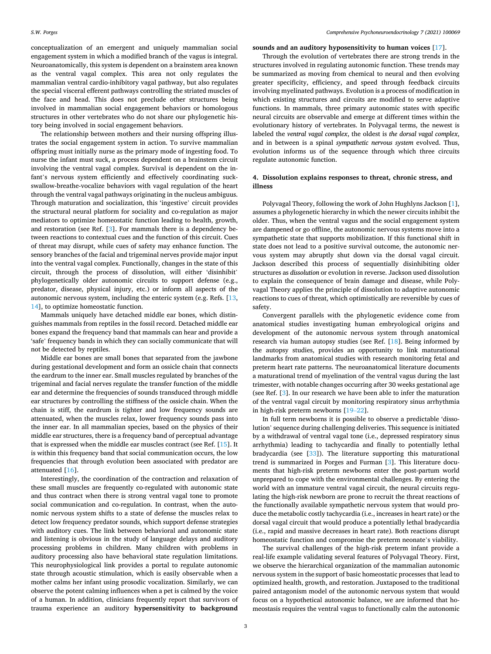conceptualization of an emergent and uniquely mammalian social engagement system in which a modified branch of the vagus is integral. Neuroanatomically, this system is dependent on a brainstem area known as the ventral vagal complex. This area not only regulates the mammalian ventral cardio-inhibitory vagal pathway, but also regulates the special visceral efferent pathways controlling the striated muscles of the face and head. This does not preclude other structures being involved in mammalian social engagement behaviors or homologous structures in other vertebrates who do not share our phylogenetic history being involved in social engagement behaviors.

The relationship between mothers and their nursing offspring illustrates the social engagement system in action. To survive mammalian offspring must initially nurse as the primary mode of ingesting food. To nurse the infant must suck, a process dependent on a brainstem circuit involving the ventral vagal complex. Survival is dependent on the infant's nervous system efficiently and effectively coordinating suckswallow-breathe-vocalize behaviors with vagal regulation of the heart through the ventral vagal pathways originating in the nucleus ambiguus. Through maturation and socialization, this 'ingestive' circuit provides the structural neural platform for sociality and co-regulation as major mediators to optimize homeostatic function leading to health, growth, and restoration (see Ref. [[3](#page-6-0)]. For mammals there is a dependency between reactions to contextual cues and the function of this circuit. Cues of threat may disrupt, while cues of safety may enhance function. The sensory branches of the facial and trigeminal nerves provide major input into the ventral vagal complex. Functionally, changes in the state of this circuit, through the process of dissolution, will either 'disinhibit' phylogenetically older autonomic circuits to support defense (e.g., predator, disease, physical injury, etc.) or inform all aspects of the autonomic nervous system, including the enteric system (e.g. Refs. [\[13](#page-6-0), [14\]](#page-6-0), to optimize homeostatic function.

Mammals uniquely have detached middle ear bones, which distinguishes mammals from reptiles in the fossil record. Detached middle ear bones expand the frequency band that mammals can hear and provide a 'safe' frequency bands in which they can socially communicate that will not be detected by reptiles.

Middle ear bones are small bones that separated from the jawbone during gestational development and form an ossicle chain that connects the eardrum to the inner ear. Small muscles regulated by branches of the trigeminal and facial nerves regulate the transfer function of the middle ear and determine the frequencies of sounds transduced through middle ear structures by controlling the stiffness of the ossicle chain. When the chain is stiff, the eardrum is tighter and low frequency sounds are attenuated, when the muscles relax, lower frequency sounds pass into the inner ear. In all mammalian species, based on the physics of their middle ear structures, there is a frequency band of perceptual advantage that is expressed when the middle ear muscles contract (see Ref. [[15\]](#page-6-0). It is within this frequency band that social communication occurs, the low frequencies that through evolution been associated with predator are attenuated [[16\]](#page-6-0).

Interestingly, the coordination of the contraction and relaxation of these small muscles are frequently co-regulated with autonomic state and thus contract when there is strong ventral vagal tone to promote social communication and co-regulation. In contrast, when the autonomic nervous system shifts to a state of defense the muscles relax to detect low frequency predator sounds, which support defense strategies with auditory cues. The link between behavioral and autonomic state and listening is obvious in the study of language delays and auditory processing problems in children. Many children with problems in auditory processing also have behavioral state regulation limitations. This neurophysiological link provides a portal to regulate autonomic state through acoustic stimulation, which is easily observable when a mother calms her infant using prosodic vocalization. Similarly, we can observe the potent calming influences when a pet is calmed by the voice of a human. In addition, clinicians frequently report that survivors of trauma experience an auditory **hypersensitivity to background** 

#### **sounds and an auditory hyposensitivity to human voices** [[17\]](#page-6-0).

Through the evolution of vertebrates there are strong trends in the structures involved in regulating autonomic function. These trends may be summarized as moving from chemical to neural and then evolving greater specificity, efficiency, and speed through feedback circuits involving myelinated pathways. Evolution is a process of modification in which existing structures and circuits are modified to serve adaptive functions. In mammals, three primary autonomic states with specific neural circuits are observable and emerge at different times within the evolutionary history of vertebrates. In Polyvagal terms, the newest is labeled the *ventral vagal complex*, the oldest is *the dorsal vagal complex*, and in between is a spinal *sympathetic nervous system* evolved. Thus, evolution informs us of the sequence through which three circuits regulate autonomic function.

### **4. Dissolution explains responses to threat, chronic stress, and illness**

Polyvagal Theory, following the work of John Hughlyns Jackson [[1](#page-6-0)], assumes a phylogenetic hierarchy in which the newer circuits inhibit the older. Thus, when the ventral vagus and the social engagement system are dampened or go offline, the autonomic nervous systems move into a sympathetic state that supports mobilization. If this functional shift in state does not lead to a positive survival outcome, the autonomic nervous system may abruptly shut down via the dorsal vagal circuit. Jackson described this process of sequentially disinhibiting older structures as *dissolution* or evolution in reverse. Jackson used dissolution to explain the consequence of brain damage and disease, while Polyvagal Theory applies the principle of dissolution to adaptive autonomic reactions to cues of threat, which optimistically are reversible by cues of safety.

Convergent parallels with the phylogenetic evidence come from anatomical studies investigating human embryological origins and development of the autonomic nervous system through anatomical research via human autopsy studies (see Ref. [\[18](#page-6-0)]. Being informed by the autopsy studies, provides an opportunity to link maturational landmarks from anatomical studies with research monitoring fetal and preterm heart rate patterns. The neuroanatomical literature documents a maturational trend of myelination of the ventral vagus during the last trimester, with notable changes occurring after 30 weeks gestational age (see Ref. [\[3\]](#page-6-0). In our research we have been able to infer the maturation of the ventral vagal circuit by monitoring respiratory sinus arrhythmia in high-risk preterm newborns [19–[22\]](#page-6-0).

In full term newborns it is possible to observe a predictable 'dissolution' sequence during challenging deliveries. This sequence is initiated by a withdrawal of ventral vagal tone (i.e., depressed respiratory sinus arrhythmia) leading to tachycardia and finally to potentially lethal bradycardia (see [\[33](#page-6-0)]). The literature supporting this maturational trend is summarized in Porges and Furman [\[3\]](#page-6-0). This literature documents that high-risk preterm newborns enter the post-partum world unprepared to cope with the environmental challenges. By entering the world with an immature ventral vagal circuit, the neural circuits regulating the high-risk newborn are prone to recruit the threat reactions of the functionally available sympathetic nervous system that would produce the metabolic costly tachycardia (i.e., increases in heart rate) or the dorsal vagal circuit that would produce a potentially lethal bradycardia (i.e., rapid and massive decreases in heart rate). Both reactions disrupt homeostatic function and compromise the preterm neonate's viability.

The survival challenges of the high-risk preterm infant provide a real-life example validating several features of Polyvagal Theory. First, we observe the hierarchical organization of the mammalian autonomic nervous system in the support of basic homeostatic processes that lead to optimized health, growth, and restoration. Juxtaposed to the traditional paired antagonism model of the autonomic nervous system that would focus on a hypothetical autonomic balance, we are informed that homeostasis requires the ventral vagus to functionally calm the autonomic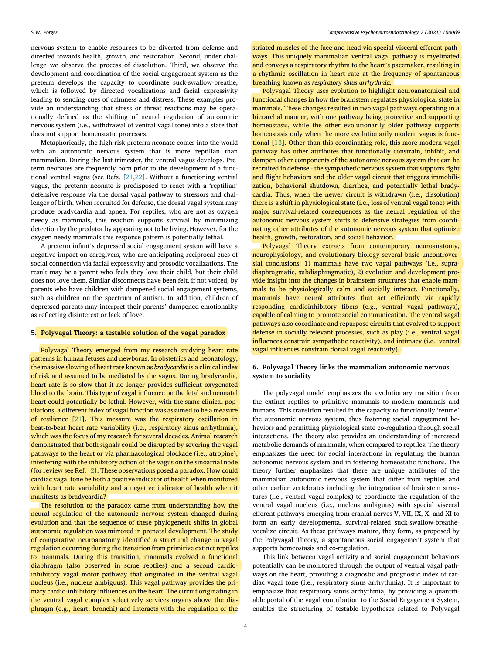nervous system to enable resources to be diverted from defense and directed towards health, growth, and restoration. Second, under challenge we observe the process of dissolution. Third, we observe the development and coordination of the social engagement system as the preterm develops the capacity to coordinate suck-swallow-breathe, which is followed by directed vocalizations and facial expressivity leading to sending cues of calmness and distress. These examples provide an understanding that stress or threat reactions may be operationally defined as the shifting of neural regulation of autonomic nervous system (i.e., withdrawal of ventral vagal tone) into a state that does not support homeostatic processes.

Metaphorically, the high-risk preterm neonate comes into the world with an autonomic nervous system that is more reptilian than mammalian. During the last trimester, the ventral vagus develops. Preterm neonates are frequently born prior to the development of a functional ventral vagus (see Refs. [[21,22\]](#page-6-0). Without a functioning ventral vagus, the preterm neonate is predisposed to react with a 'reptilian' defensive response via the dorsal vagal pathway to stressors and challenges of birth. When recruited for defense, the dorsal vagal system may produce bradycardia and apnea. For reptiles, who are not as oxygen needy as mammals, this reaction supports survival by minimizing detection by the predator by appearing not to be living. However, for the oxygen needy mammals this response pattern is potentially lethal.

A preterm infant's depressed social engagement system will have a negative impact on caregivers, who are anticipating reciprocal cues of social connection via facial expressivity and prosodic vocalizations. The result may be a parent who feels they love their child, but their child does not love them. Similar disconnects have been felt, if not voiced, by parents who have children with dampened social engagement systems, such as children on the spectrum of autism. In addition, children of depressed parents may interpret their parents' dampened emotionality as reflecting disinterest or lack of love.

#### **5. Polyvagal Theory: a testable solution of the vagal paradox**

Polyvagal Theory emerged from my research studying heart rate patterns in human fetuses and newborns. In obstetrics and neonatology, the massive slowing of heart rate known as *bradycardia* is a clinical index of risk and assumed to be mediated by the vagus. During bradycardia, heart rate is so slow that it no longer provides sufficient oxygenated blood to the brain. This type of vagal influence on the fetal and neonatal heart could potentially be lethal. However, with the same clinical populations, a different index of vagal function was assumed to be a measure of resilience [[21\]](#page-6-0). This measure was the respiratory oscillation in beat-to-beat heart rate variability (i.e., respiratory sinus arrhythmia), which was the focus of my research for several decades. Animal research demonstrated that both signals could be disrupted by severing the vagal pathways to the heart or via pharmacological blockade (i.e., atropine), interfering with the inhibitory action of the vagus on the sinoatrial node (for review see Ref. [\[2](#page-6-0)]. These observations posed a paradox. How could cardiac vagal tone be both a positive indicator of health when monitored with heart rate variability and a negative indicator of health when it manifests as bradycardia?

The resolution to the paradox came from understanding how the neural regulation of the autonomic nervous system changed during evolution and that the sequence of these phylogenetic shifts in global autonomic regulation was mirrored in prenatal development. The study of comparative neuroanatomy identified a structural change in vagal regulation occurring during the transition from primitive extinct reptiles to mammals. During this transition, mammals evolved a functional diaphragm (also observed in some reptiles) and a second cardioinhibitory vagal motor pathway that originated in the ventral vagal nucleus (i.e., nucleus ambiguus). This vagal pathway provides the primary cardio-inhibitory influences on the heart. The circuit originating in the ventral vagal complex selectively services organs above the diaphragm (e.g., heart, bronchi) and interacts with the regulation of the

striated muscles of the face and head via special visceral efferent pathways. This uniquely mammalian ventral vagal pathway is myelinated and conveys a respiratory rhythm to the heart's pacemaker, resulting in a rhythmic oscillation in heart rate at the frequency of spontaneous breathing known as *respiratory sinus arrhythmia.* 

Polyvagal Theory uses evolution to highlight neuroanatomical and functional changes in how the brainstem regulates physiological state in mammals. These changes resulted in two vagal pathways operating in a hierarchal manner, with one pathway being protective and supporting homeostasis, while the other evolutionarily older pathway supports homeostasis only when the more evolutionarily modern vagus is functional [[13\]](#page-6-0). Other than this coordinating role, this more modern vagal pathway has other attributes that functionally constrain, inhibit, and dampen other components of the autonomic nervous system that can be recruited in defense - the sympathetic nervous system that supports fight and flight behaviors and the older vagal circuit that triggers immobilization, behavioral shutdown, diarrhea, and potentially lethal bradycardia. Thus, when the newer circuit is withdrawn (i.e., dissolution) there is a shift in physiological state (i.e., loss of ventral vagal tone) with major survival-related consequences as the neural regulation of the autonomic nervous system shifts to defensive strategies from coordinating other attributes of the autonomic nervous system that optimize health, growth, restoration, and social behavior.

Polyvagal Theory extracts from contemporary neuroanatomy, neurophysiology, and evolutionary biology several basic uncontroversial conclusions: 1) mammals have two vagal pathways (i.e., supradiaphragmatic, subdiaphragmatic), 2) evolution and development provide insight into the changes in brainstem structures that enable mammals to be physiologically calm and socially interact. Functionally, mammals have neural attributes that act efficiently via rapidly responding cardioinhibitory fibers (e.g., ventral vagal pathways), capable of calming to promote social communication. The ventral vagal pathways also coordinate and repurpose circuits that evolved to support defense in socially relevant processes, such as play (i.e., ventral vagal influences constrain sympathetic reactivity), and intimacy (i.e., ventral vagal influences constrain dorsal vagal reactivity).

## **6. Polyvagal Theory links the mammalian autonomic nervous system to sociality**

The polyvagal model emphasizes the evolutionary transition from the extinct reptiles to primitive mammals to modern mammals and humans. This transition resulted in the capacity to functionally 'retune' the autonomic nervous system, thus fostering social engagement behaviors and permitting physiological state co-regulation through social interactions. The theory also provides an understanding of increased metabolic demands of mammals, when compared to reptiles. The theory emphasizes the need for social interactions in regulating the human autonomic nervous system and in fostering homeostatic functions. The theory further emphasizes that there are unique attributes of the mammalian autonomic nervous system that differ from reptiles and other earlier vertebrates including the integration of brainstem structures (i.e., ventral vagal complex) to coordinate the regulation of the ventral vagal nucleus (i.e., nucleus ambiguus) with special visceral efferent pathways emerging from cranial nerves V, VII, IX, X, and XI to form an early developmental survival-related suck-swallow-breathevocalize circuit. As these pathways mature, they form, as proposed by the Polyvagal Theory, a spontaneous social engagement system that supports homeostasis and co-regulation.

This link between vagal activity and social engagement behaviors potentially can be monitored through the output of ventral vagal pathways on the heart, providing a diagnostic and prognostic index of cardiac vagal tone (i.e., respiratory sinus arrhythmia). It is important to emphasize that respiratory sinus arrhythmia, by providing a quantifiable portal of the vagal contribution to the Social Engagement System, enables the structuring of testable hypotheses related to Polyvagal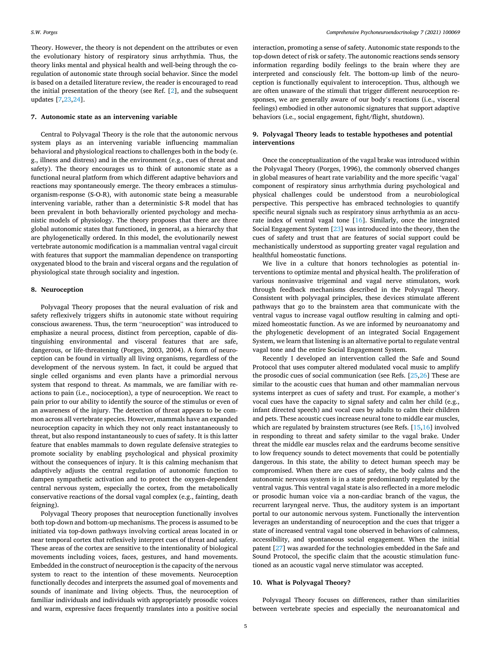Theory. However, the theory is not dependent on the attributes or even the evolutionary history of respiratory sinus arrhythmia. Thus, the theory links mental and physical health and well-being through the coregulation of autonomic state through social behavior. Since the model is based on a detailed literature review, the reader is encouraged to read the initial presentation of the theory (see Ref. [\[2\]](#page-6-0), and the subsequent updates [[7,23](#page-6-0),[24\]](#page-6-0).

#### **7. Autonomic state as an intervening variable**

Central to Polyvagal Theory is the role that the autonomic nervous system plays as an intervening variable influencing mammalian behavioral and physiological reactions to challenges both in the body (e. g., illness and distress) and in the environment (e.g., cues of threat and safety). The theory encourages us to think of autonomic state as a functional neural platform from which different adaptive behaviors and reactions may spontaneously emerge. The theory embraces a stimulusorganism-response (S-O-R), with autonomic state being a measurable intervening variable, rather than a deterministic S-R model that has been prevalent in both behaviorally oriented psychology and mechanistic models of physiology. The theory proposes that there are three global autonomic states that functioned, in general, as a hierarchy that are phylogenetically ordered. In this model, the evolutionarily newest vertebrate autonomic modification is a mammalian ventral vagal circuit with features that support the mammalian dependence on transporting oxygenated blood to the brain and visceral organs and the regulation of physiological state through sociality and ingestion.

#### **8. Neuroception**

Polyvagal Theory proposes that the neural evaluation of risk and safety reflexively triggers shifts in autonomic state without requiring conscious awareness. Thus, the term "neuroception" was introduced to emphasize a neural process, distinct from perception, capable of distinguishing environmental and visceral features that are safe, dangerous, or life-threatening (Porges, 2003, 2004). A form of neuroception can be found in virtually all living organisms, regardless of the development of the nervous system. In fact, it could be argued that single celled organisms and even plants have a primordial nervous system that respond to threat. As mammals, we are familiar with reactions to pain (i.e., nocioception), a type of neuroception. We react to pain prior to our ability to identify the source of the stimulus or even of an awareness of the injury. The detection of threat appears to be common across all vertebrate species. However, mammals have an expanded neuroception capacity in which they not only react instantaneously to threat, but also respond instantaneously to cues of safety. It is this latter feature that enables mammals to down regulate defensive strategies to promote sociality by enabling psychological and physical proximity without the consequences of injury. It is this calming mechanism that adaptively adjusts the central regulation of autonomic function to dampen sympathetic activation and to protect the oxygen-dependent central nervous system, especially the cortex, from the metabolically conservative reactions of the dorsal vagal complex (e.g., fainting, death feigning).

Polyvagal Theory proposes that neuroception functionally involves both top-down and bottom-up mechanisms. The process is assumed to be initiated via top-down pathways involving cortical areas located in or near temporal cortex that reflexively interpret cues of threat and safety. These areas of the cortex are sensitive to the intentionality of biological movements including voices, faces, gestures, and hand movements. Embedded in the construct of neuroception is the capacity of the nervous system to react to the intention of these movements. Neuroception functionally decodes and interprets the assumed goal of movements and sounds of inanimate and living objects. Thus, the neuroception of familiar individuals and individuals with appropriately prosodic voices and warm, expressive faces frequently translates into a positive social

interaction, promoting a sense of safety. Autonomic state responds to the top-down detect of risk or safety. The autonomic reactions sends sensory information regarding bodily feelings to the brain where they are interpreted and consciously felt. The bottom-up limb of the neuroception is functionally equivalent to interoception. Thus, although we are often unaware of the stimuli that trigger different neuroception responses, we are generally aware of our body's reactions (i.e., visceral feelings) embodied in other autonomic signatures that support adaptive behaviors (i.e., social engagement, fight/flight, shutdown).

#### **9. Polyvagal Theory leads to testable hypotheses and potential interventions**

Once the conceptualization of the vagal brake was introduced within the Polyvagal Theory (Porges, 1996), the commonly observed changes in global measures of heart rate variability and the more specific 'vagal' component of respiratory sinus arrhythmia during psychological and physical challenges could be understood from a neurobiological perspective. This perspective has embraced technologies to quantify specific neural signals such as respiratory sinus arrhythmia as an accurate index of ventral vagal tone [[16\]](#page-6-0). Similarly, once the integrated Social Engagement System [[23](#page-6-0)] was introduced into the theory, then the cues of safety and trust that are features of social support could be mechanistically understood as supporting greater vagal regulation and healthful homeostatic functions.

We live in a culture that honors technologies as potential interventions to optimize mental and physical health. The proliferation of various noninvasive trigeminal and vagal nerve stimulators, work through feedback mechanisms described in the Polyvagal Theory. Consistent with polyvagal principles, these devices stimulate afferent pathways that go to the brainstem area that communicate with the ventral vagus to increase vagal outflow resulting in calming and optimized homeostatic function. As we are informed by neuroanatomy and the phylogenetic development of an integrated Social Engagement System, we learn that listening is an alternative portal to regulate ventral vagal tone and the entire Social Engagement System.

Recently I developed an intervention called the Safe and Sound Protocol that uses computer altered modulated vocal music to amplify the prosodic cues of social communication (see Refs. [\[25,26](#page-6-0)] These are similar to the acoustic cues that human and other mammalian nervous systems interpret as cues of safety and trust. For example, a mother's vocal cues have the capacity to signal safety and calm her child (e.g., infant directed speech) and vocal cues by adults to calm their children and pets. These acoustic cues increase neural tone to middle ear muscles, which are regulated by brainstem structures (see Refs. [[15,16\]](#page-6-0) involved in responding to threat and safety similar to the vagal brake. Under threat the middle ear muscles relax and the eardrums become sensitive to low frequency sounds to detect movements that could be potentially dangerous. In this state, the ability to detect human speech may be compromised. When there are cues of safety, the body calms and the autonomic nervous system is in a state predominantly regulated by the ventral vagus. This ventral vagal state is also reflected in a more melodic or prosodic human voice via a non-cardiac branch of the vagus, the recurrent laryngeal nerve. Thus, the auditory system is an important portal to our autonomic nervous system. Functionally the intervention leverages an understanding of neuroception and the cues that trigger a state of increased ventral vagal tone observed in behaviors of calmness, accessibility, and spontaneous social engagement. When the initial patent [\[27](#page-6-0)] was awarded for the technologies embedded in the Safe and Sound Protocol, the specific claim that the acoustic stimulation functioned as an acoustic vagal nerve stimulator was accepted.

#### **10. What is Polyvagal Theory?**

Polyvagal Theory focuses on differences, rather than similarities between vertebrate species and especially the neuroanatomical and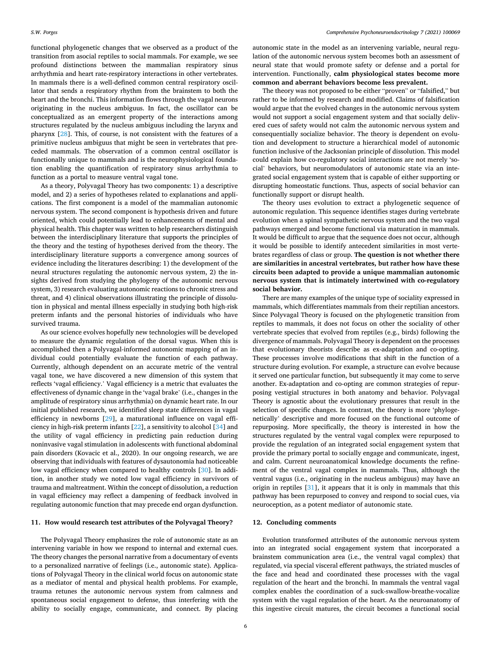functional phylogenetic changes that we observed as a product of the transition from asocial reptiles to social mammals. For example, we see profound distinctions between the mammalian respiratory sinus arrhythmia and heart rate-respiratory interactions in other vertebrates. In mammals there is a well-defined common central respiratory oscillator that sends a respiratory rhythm from the brainstem to both the heart and the bronchi. This information flows through the vagal neurons originating in the nucleus ambiguus. In fact, the oscillator can be conceptualized as an emergent property of the interactions among structures regulated by the nucleus ambiguus including the larynx and pharynx [\[28](#page-6-0)]. This, of course, is not consistent with the features of a primitive nucleus ambiguus that might be seen in vertebrates that preceded mammals. The observation of a common central oscillator is functionally unique to mammals and is the neurophysiological foundation enabling the quantification of respiratory sinus arrhythmia to function as a portal to measure ventral vagal tone.

As a theory, Polyvagal Theory has two components: 1) a descriptive model, and 2) a series of hypotheses related to explanations and applications. The first component is a model of the mammalian autonomic nervous system. The second component is hypothesis driven and future oriented, which could potentially lead to enhancements of mental and physical health. This chapter was written to help researchers distinguish between the interdisciplinary literature that supports the principles of the theory and the testing of hypotheses derived from the theory. The interdisciplinary literature supports a convergence among sources of evidence including the literatures describing: 1) the development of the neural structures regulating the autonomic nervous system, 2) the insights derived from studying the phylogeny of the autonomic nervous system, 3) research evaluating autonomic reactions to chronic stress and threat, and 4) clinical observations illustrating the principle of dissolution in physical and mental illness especially in studying both high-risk preterm infants and the personal histories of individuals who have survived trauma.

As our science evolves hopefully new technologies will be developed to measure the dynamic regulation of the dorsal vagus. When this is accomplished then a Polyvagal-informed autonomic mapping of an individual could potentially evaluate the function of each pathway. Currently, although dependent on an accurate metric of the ventral vagal tone, we have discovered a new dimension of this system that reflects 'vagal efficiency.' Vagal efficiency is a metric that evaluates the effectiveness of dynamic change in the 'vagal brake' (i.e., changes in the amplitude of respiratory sinus arrhythmia) on dynamic heart rate. In our initial published research, we identified sleep state differences in vagal efficiency in newborns [[29](#page-6-0)], a maturational influence on vagal efficiency in high-risk preterm infants [\[22](#page-6-0)], a sensitivity to alcohol [[34\]](#page-6-0) and the utility of vagal efficiency in predicting pain reduction during noninvasive vagal stimulation in adolescents with functional abdominal pain disorders (Kovacic et al., 2020). In our ongoing research, we are observing that individuals with features of dysautonomia had noticeable low vagal efficiency when compared to healthy controls [[30\]](#page-6-0). In addition, in another study we noted low vagal efficiency in survivors of trauma and maltreatment. Within the concept of dissolution, a reduction in vagal efficiency may reflect a dampening of feedback involved in regulating autonomic function that may precede end organ dysfunction.

#### **11. How would research test attributes of the Polyvagal Theory?**

The Polyvagal Theory emphasizes the role of autonomic state as an intervening variable in how we respond to internal and external cues. The theory changes the personal narrative from a documentary of events to a personalized narrative of feelings (i.e., autonomic state). Applications of Polyvagal Theory in the clinical world focus on autonomic state as a mediator of mental and physical health problems. For example, trauma retunes the autonomic nervous system from calmness and spontaneous social engagement to defense, thus interfering with the ability to socially engage, communicate, and connect. By placing autonomic state in the model as an intervening variable, neural regulation of the autonomic nervous system becomes both an assessment of neural state that would promote safety or defense and a portal for intervention. Functionally, **calm physiological states become more common and aberrant behaviors become less prevalent.** 

The theory was not proposed to be either "proven" or "falsified," but rather to be informed by research and modified. Claims of falsification would argue that the evolved changes in the autonomic nervous system would not support a social engagement system and that socially delivered cues of safety would not calm the autonomic nervous system and consequentially socialize behavior. The theory is dependent on evolution and development to structure a hierarchical model of autonomic function inclusive of the Jacksonian principle of dissolution. This model could explain how co-regulatory social interactions are not merely 'social' behaviors, but neuromodulators of autonomic state via an integrated social engagement system that is capable of either supporting or disrupting homeostatic functions. Thus, aspects of social behavior can functionally support or disrupt health.

The theory uses evolution to extract a phylogenetic sequence of autonomic regulation. This sequence identifies stages during vertebrate evolution when a spinal sympathetic nervous system and the two vagal pathways emerged and become functional via maturation in mammals. It would be difficult to argue that the sequence does not occur, although it would be possible to identify antecedent similarities in most vertebrates regardless of class or group. **The question is not whether there are similarities in ancestral vertebrates, but rather how have these circuits been adapted to provide a unique mammalian autonomic nervous system that is intimately intertwined with co-regulatory social behavior.** 

There are many examples of the unique type of sociality expressed in mammals, which differentiates mammals from their reptilian ancestors. Since Polyvagal Theory is focused on the phylogenetic transition from reptiles to mammals, it does not focus on other the sociality of other vertebrate species that evolved from reptiles (e.g., birds) following the divergence of mammals. Polyvagal Theory is dependent on the processes that evolutionary theorists describe as ex-adaptation and co-opting. These processes involve modifications that shift in the function of a structure during evolution. For example, a structure can evolve because it served one particular function, but subsequently it may come to serve another. Ex-adaptation and co-opting are common strategies of repurposing vestigial structures in both anatomy and behavior. Polyvagal Theory is agnostic about the evolutionary pressures that result in the selection of specific changes. In contrast, the theory is more 'phylogenetically' descriptive and more focused on the functional outcome of repurposing. More specifically, the theory is interested in how the structures regulated by the ventral vagal complex were repurposed to provide the regulation of an integrated social engagement system that provide the primary portal to socially engage and communicate, ingest, and calm. Current neuroanatomical knowledge documents the refinement of the ventral vagal complex in mammals. Thus, although the ventral vagus (i.e., originating in the nucleus ambiguus) may have an origin in reptiles [[31\]](#page-6-0), it appears that it is only in mammals that this pathway has been repurposed to convey and respond to social cues, via neuroception, as a potent mediator of autonomic state.

### **12. Concluding comments**

Evolution transformed attributes of the autonomic nervous system into an integrated social engagement system that incorporated a brainstem communication area (i.e., the ventral vagal complex) that regulated, via special visceral efferent pathways, the striated muscles of the face and head and coordinated these processes with the vagal regulation of the heart and the bronchi. In mammals the ventral vagal complex enables the coordination of a suck-swallow-breathe-vocalize system with the vagal regulation of the heart. As the neuroanatomy of this ingestive circuit matures, the circuit becomes a functional social